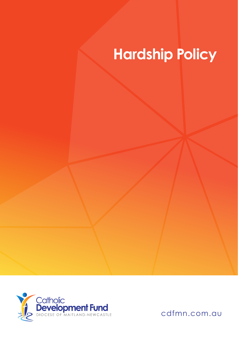## **Hardship Policy**



cdfmn.com.au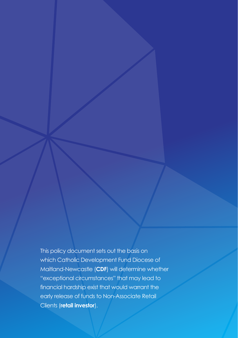This policy document sets out the basis on which Catholic Development Fund Diocese of Maitland-Newcastle (**CDF**) will determine whether "exceptional circumstances" that may lead to financial hardship exist that would warrant the early release of funds to Non-Associate Retail Clients (**retail investor**).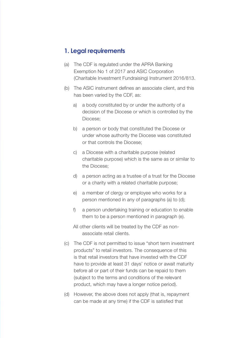## **1. Legal requirements**

- (a) The CDF is regulated under the APRA Banking Exemption No 1 of 2017 and ASIC Corporation (Charitable Investment Fundraising) Instrument 2016/813.
- (b) The ASIC instrument defines an associate client, and this has been varied by the CDF, as:
	- a) a body constituted by or under the authority of a decision of the Diocese or which is controlled by the Diocese;
	- b) a person or body that constituted the Diocese or under whose authority the Diocese was constituted or that controls the Diocese;
	- c) a Diocese with a charitable purpose (related charitable purpose) which is the same as or similar to the Diocese;
	- d) a person acting as a trustee of a trust for the Diocese or a charity with a related charitable purpose;
	- e) a member of clergy or employee who works for a person mentioned in any of paragraphs (a) to (d);
	- f) a person undertaking training or education to enable them to be a person mentioned in paragraph (e).
	- All other clients will be treated by the CDF as nonassociate retail clients.
- (c) The CDF is not permitted to issue "short term investment products" to retail investors. The consequence of this is that retail investors that have invested with the CDF have to provide at least 31 days' notice or await maturity before all or part of their funds can be repaid to them (subject to the terms and conditions of the relevant product, which may have a longer notice period).
- (d) However, the above does not apply (that is, repayment can be made at any time) if the CDF is satisfied that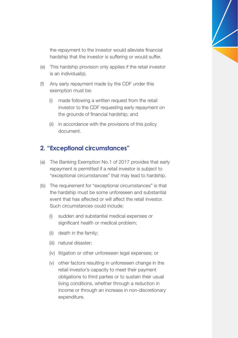the repayment to the investor would alleviate financial hardship that the investor is suffering or would suffer.

- (e) This hardship provision only applies if the retail investor is an individual(s).
- (f) Any early repayment made by the CDF under this exemption must be:
	- (i) made following a written request from the retail investor to the CDF requesting early repayment on the grounds of financial hardship; and
	- (ii) in accordance with the provisions of this policy document.

## **2. "Exceptional circumstances"**

- (a) The Banking Exemption No.1 of 2017 provides that early repayment is permitted if a retail investor is subject to "exceptional circumstances" that may lead to hardship.
- (b) The requirement for "exceptional circumstances" is that the hardship must be some unforeseen and substantial event that has affected or will affect the retail investor. Such circumstances could include:
	- (i) sudden and substantial medical expenses or significant health or medical problem;
	- (ii) death in the family;
	- (iii) natural disaster;
	- (iv) litigation or other unforeseen legal expenses; or
	- (v) other factors resulting in unforeseen change in the retail investor's capacity to meet their payment obligations to third parties or to sustain their usual living conditions, whether through a reduction in income or through an increase in non-discretionary expenditure.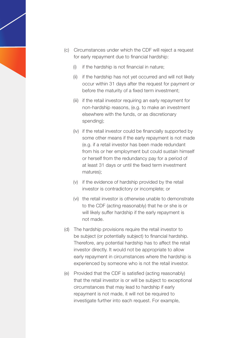- (c) Circumstances under which the CDF will reject a request for early repayment due to financial hardship:
	- (i) if the hardship is not financial in nature;
	- (ii) if the hardship has not yet occurred and will not likely occur within 31 days after the request for payment or before the maturity of a fixed term investment;
	- (iii) if the retail investor requiring an early repayment for non-hardship reasons, (e.g. to make an investment elsewhere with the funds, or as discretionary spending);
	- (iv) if the retail investor could be financially supported by some other means if the early repayment is not made (e.g. if a retail investor has been made redundant from his or her employment but could sustain himself or herself from the redundancy pay for a period of at least 31 days or until the fixed term investment matures);
	- (v) if the evidence of hardship provided by the retail investor is contradictory or incomplete; or
	- (vi) the retail investor is otherwise unable to demonstrate to the CDF (acting reasonably) that he or she is or will likely suffer hardship if the early repayment is not made.
- (d) The hardship provisions require the retail investor to be subject (or potentially subject) to financial hardship. Therefore, any potential hardship has to affect the retail investor directly. It would not be appropriate to allow early repayment in circumstances where the hardship is experienced by someone who is not the retail investor.
- (e) Provided that the CDF is satisfied (acting reasonably) that the retail investor is or will be subject to exceptional circumstances that may lead to hardship if early repayment is not made, it will not be required to investigate further into each request. For example,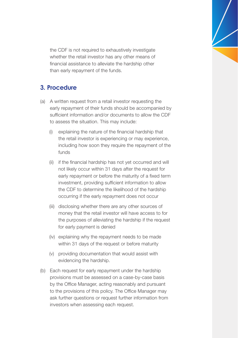the CDF is not required to exhaustively investigate whether the retail investor has any other means of financial assistance to alleviate the hardship other than early repayment of the funds.

## **3. Procedure**

- (a) A written request from a retail investor requesting the early repayment of their funds should be accompanied by sufficient information and/or documents to allow the CDF to assess the situation. This may include:
	- (i) explaining the nature of the financial hardship that the retail investor is experiencing or may experience, including how soon they require the repayment of the funds
	- (ii) if the financial hardship has not yet occurred and will not likely occur within 31 days after the request for early repayment or before the maturity of a fixed term investment, providing sufficient information to allow the CDF to determine the likelihood of the hardship occurring if the early repayment does not occur
	- (iii) disclosing whether there are any other sources of money that the retail investor will have access to for the purposes of alleviating the hardship if the request for early payment is denied
	- (iv) explaining why the repayment needs to be made within 31 days of the request or before maturity
	- (v) providing documentation that would assist with evidencing the hardship.
- (b) Each request for early repayment under the hardship provisions must be assessed on a case-by-case basis by the Office Manager, acting reasonably and pursuant to the provisions of this policy. The Office Manager may ask further questions or request further information from investors when assessing each request.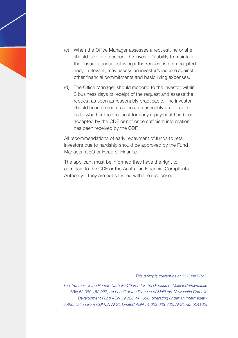- (c) When the Office Manager assesses a request, he or she should take into account the investor's ability to maintain their usual standard of living if the request is not accepted and, if relevant, may assess an investor's income against other financial commitments and basic living expenses.
- (d) The Office Manager should respond to the investor within 2 business days of receipt of the request and assess the request as soon as reasonably practicable. The investor should be informed as soon as reasonably practicable as to whether their request for early repayment has been accepted by the CDF or not once sufficient information has been received by the CDF.

All recommendations of early repayment of funds to retail investors due to hardship should be approved by the Fund Manager, CEO or Head of Finance.

The applicant must be informed they have the right to complain to the CDF or the Australian Financial Complaints Authority if they are not satisfied with the response.

*This policy is current as at 17 June 2021.*

*The Trustees of the Roman Catholic Church for the Diocese of Maitland-Newcastle ABN 62 089 182 027, on behalf of the Diocese of Maitland-Newcastle Catholic Development Fund ABN 59 728 447 508, operating under an intermediary authorisation from CDFMN AFSL Limited ABN 74 623 033 830, AFSL no. 504182.*